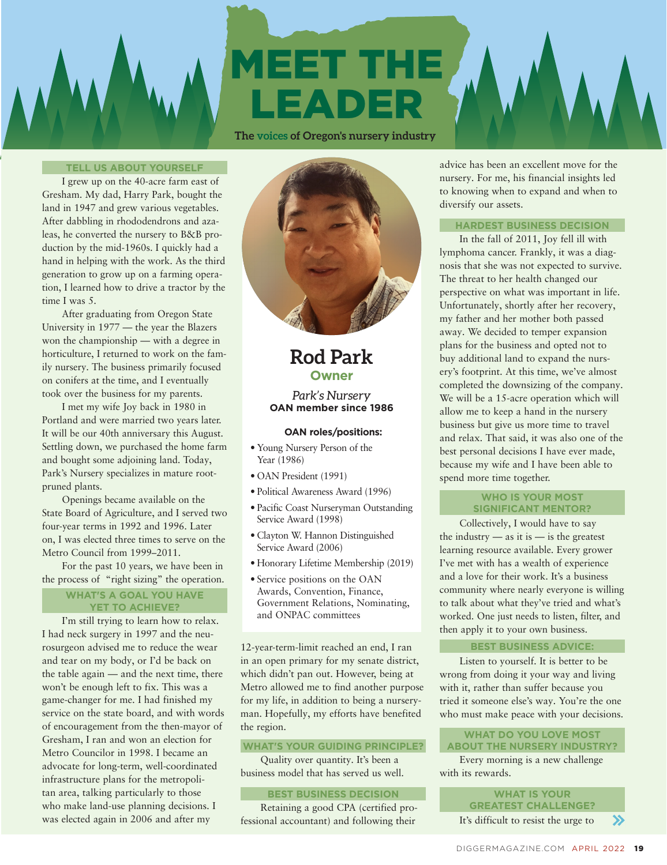# MEET THE LEADER

**The voices of Oregon's nursery industry**

#### **TELL US ABOUT YOURSELF**

I grew up on the 40-acre farm east of Gresham. My dad, Harry Park, bought the land in 1947 and grew various vegetables. After dabbling in rhododendrons and azaleas, he converted the nursery to B&B production by the mid-1960s. I quickly had a hand in helping with the work. As the third generation to grow up on a farming operation, I learned how to drive a tractor by the time I was 5.

After graduating from Oregon State University in 1977 — the year the Blazers won the championship — with a degree in horticulture, I returned to work on the family nursery. The business primarily focused on conifers at the time, and I eventually took over the business for my parents.

I met my wife Joy back in 1980 in Portland and were married two years later. It will be our 40th anniversary this August. Settling down, we purchased the home farm and bought some adjoining land. Today, Park's Nursery specializes in mature rootpruned plants.

Openings became available on the State Board of Agriculture, and I served two four-year terms in 1992 and 1996. Later on, I was elected three times to serve on the Metro Council from 1999–2011.

For the past 10 years, we have been in the process of "right sizing" the operation.

#### **WHAT'S A GOAL YOU HAVE YET TO ACHIEVE?**

I'm still trying to learn how to relax. I had neck surgery in 1997 and the neurosurgeon advised me to reduce the wear and tear on my body, or I'd be back on the table again — and the next time, there won't be enough left to fix. This was a game-changer for me. I had finished my service on the state board, and with words of encouragement from the then-mayor of Gresham, I ran and won an election for Metro Councilor in 1998. I became an advocate for long-term, well-coordinated infrastructure plans for the metropolitan area, talking particularly to those who make land-use planning decisions. I was elected again in 2006 and after my



### **Rod Park Owner**

*Park's Nursery*  **OAN member since 1986**

#### **OAN roles/positions:**

- Young Nursery Person of the Year (1986)
- OAN President (1991)
- Political Awareness Award (1996)
- Pacific Coast Nurseryman Outstanding Service Award (1998)
- Clayton W. Hannon Distinguished Service Award (2006)
- Honorary Lifetime Membership (2019)
- Service positions on the OAN Awards, Convention, Finance, Government Relations, Nominating, and ONPAC committees

12-year-term-limit reached an end, I ran in an open primary for my senate district, which didn't pan out. However, being at Metro allowed me to find another purpose for my life, in addition to being a nurseryman. Hopefully, my efforts have benefited the region.

#### **WHAT'S YOUR GUIDING PRINCIPLE?**

Quality over quantity. It's been a business model that has served us well.

#### **BEST BUSINESS DECISION**

Retaining a good CPA (certified professional accountant) and following their

advice has been an excellent move for the nursery. For me, his financial insights led to knowing when to expand and when to diversify our assets.

#### **HARDEST BUSINESS DECISION**

In the fall of 2011, Joy fell ill with lymphoma cancer. Frankly, it was a diagnosis that she was not expected to survive. The threat to her health changed our perspective on what was important in life. Unfortunately, shortly after her recovery, my father and her mother both passed away. We decided to temper expansion plans for the business and opted not to buy additional land to expand the nursery's footprint. At this time, we've almost completed the downsizing of the company. We will be a 15-acre operation which will allow me to keep a hand in the nursery business but give us more time to travel and relax. That said, it was also one of the best personal decisions I have ever made, because my wife and I have been able to spend more time together.

#### **WHO IS YOUR MOST SIGNIFICANT MENTOR?**

Collectively, I would have to say the industry  $-$  as it is  $-$  is the greatest learning resource available. Every grower I've met with has a wealth of experience and a love for their work. It's a business community where nearly everyone is willing to talk about what they've tried and what's worked. One just needs to listen, filter, and then apply it to your own business.

#### **BEST BUSINESS ADVICE:**

Listen to yourself. It is better to be wrong from doing it your way and living with it, rather than suffer because you tried it someone else's way. You're the one who must make peace with your decisions.

#### **WHAT DO YOU LOVE MOST ABOUT THE NURSERY INDUSTRY?**

Every morning is a new challenge with its rewards.

> **WHAT IS YOUR GREATEST CHALLENGE?**  It's difficult to resist the urge to  $\mathbf{\Sigma}$